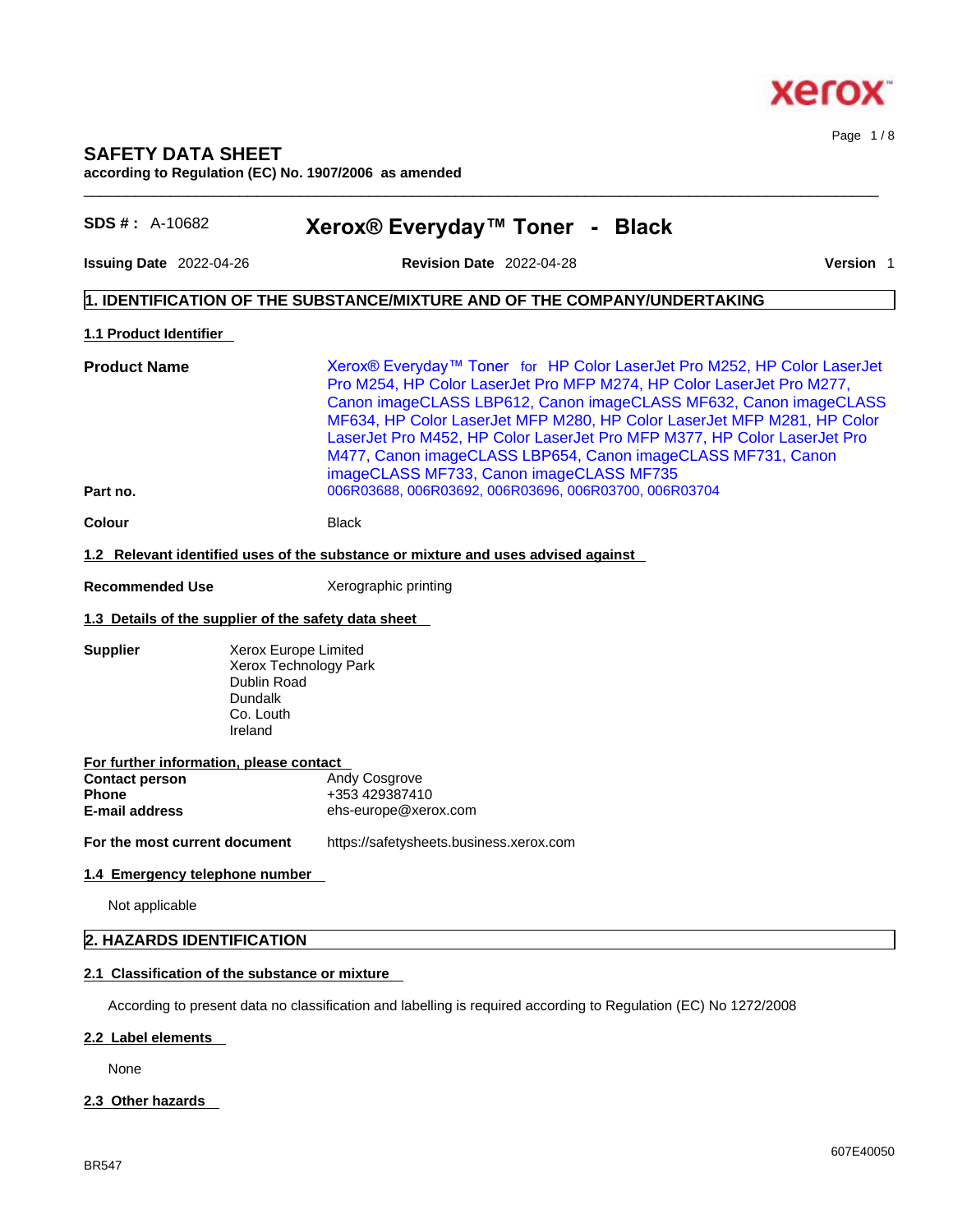

Page 1 / 8

## **SAFETY DATA SHEET according to Regulation (EC) No. 1907/2006 as amended**

| $SDS #: A-10682$                                     |                                                                                                 | Xerox® Everyday™ Toner - Black                                                                                                                                                                                                                                                                                                                                                                                                                                                            |           |
|------------------------------------------------------|-------------------------------------------------------------------------------------------------|-------------------------------------------------------------------------------------------------------------------------------------------------------------------------------------------------------------------------------------------------------------------------------------------------------------------------------------------------------------------------------------------------------------------------------------------------------------------------------------------|-----------|
| <b>Issuing Date 2022-04-26</b>                       |                                                                                                 | <b>Revision Date 2022-04-28</b>                                                                                                                                                                                                                                                                                                                                                                                                                                                           | Version 1 |
|                                                      |                                                                                                 | 1. IDENTIFICATION OF THE SUBSTANCE/MIXTURE AND OF THE COMPANY/UNDERTAKING                                                                                                                                                                                                                                                                                                                                                                                                                 |           |
| 1.1 Product Identifier                               |                                                                                                 |                                                                                                                                                                                                                                                                                                                                                                                                                                                                                           |           |
| <b>Product Name</b>                                  |                                                                                                 | Xerox® Everyday™ Toner for HP Color LaserJet Pro M252, HP Color LaserJet<br>Pro M254, HP Color LaserJet Pro MFP M274, HP Color LaserJet Pro M277,<br>Canon imageCLASS LBP612, Canon imageCLASS MF632, Canon imageCLASS<br>MF634, HP Color LaserJet MFP M280, HP Color LaserJet MFP M281, HP Color<br>LaserJet Pro M452, HP Color LaserJet Pro MFP M377, HP Color LaserJet Pro<br>M477, Canon imageCLASS LBP654, Canon imageCLASS MF731, Canon<br>imageCLASS MF733, Canon imageCLASS MF735 |           |
| Part no.                                             |                                                                                                 | 006R03688, 006R03692, 006R03696, 006R03700, 006R03704                                                                                                                                                                                                                                                                                                                                                                                                                                     |           |
| <b>Colour</b>                                        |                                                                                                 | <b>Black</b>                                                                                                                                                                                                                                                                                                                                                                                                                                                                              |           |
|                                                      |                                                                                                 | 1.2 Relevant identified uses of the substance or mixture and uses advised against                                                                                                                                                                                                                                                                                                                                                                                                         |           |
| <b>Recommended Use</b>                               |                                                                                                 | Xerographic printing                                                                                                                                                                                                                                                                                                                                                                                                                                                                      |           |
| 1.3 Details of the supplier of the safety data sheet |                                                                                                 |                                                                                                                                                                                                                                                                                                                                                                                                                                                                                           |           |
| <b>Supplier</b>                                      | Xerox Europe Limited<br>Xerox Technology Park<br>Dublin Road<br>Dundalk<br>Co. Louth<br>Ireland |                                                                                                                                                                                                                                                                                                                                                                                                                                                                                           |           |
| For further information, please contact              |                                                                                                 |                                                                                                                                                                                                                                                                                                                                                                                                                                                                                           |           |
| <b>Contact person</b><br><b>Phone</b>                |                                                                                                 | Andy Cosgrove<br>+353 429387410                                                                                                                                                                                                                                                                                                                                                                                                                                                           |           |
| <b>E-mail address</b><br>ehs-europe@xerox.com        |                                                                                                 |                                                                                                                                                                                                                                                                                                                                                                                                                                                                                           |           |
| For the most current document                        |                                                                                                 | https://safetysheets.business.xerox.com                                                                                                                                                                                                                                                                                                                                                                                                                                                   |           |
| 1.4 Emergency telephone number                       |                                                                                                 |                                                                                                                                                                                                                                                                                                                                                                                                                                                                                           |           |
| Not applicable                                       |                                                                                                 |                                                                                                                                                                                                                                                                                                                                                                                                                                                                                           |           |

 $\_$  ,  $\_$  ,  $\_$  ,  $\_$  ,  $\_$  ,  $\_$  ,  $\_$  ,  $\_$  ,  $\_$  ,  $\_$  ,  $\_$  ,  $\_$  ,  $\_$  ,  $\_$  ,  $\_$  ,  $\_$  ,  $\_$  ,  $\_$  ,  $\_$  ,  $\_$  ,  $\_$  ,  $\_$  ,  $\_$  ,  $\_$  ,  $\_$  ,  $\_$  ,  $\_$  ,  $\_$  ,  $\_$  ,  $\_$  ,  $\_$  ,  $\_$  ,  $\_$  ,  $\_$  ,  $\_$  ,  $\_$  ,  $\_$  ,

## **2.1 Classification of the substance or mixture**

According to present data no classification and labelling is required according to Regulation (EC) No 1272/2008

#### **2.2 Label elements**

None

## **2.3 Other hazards**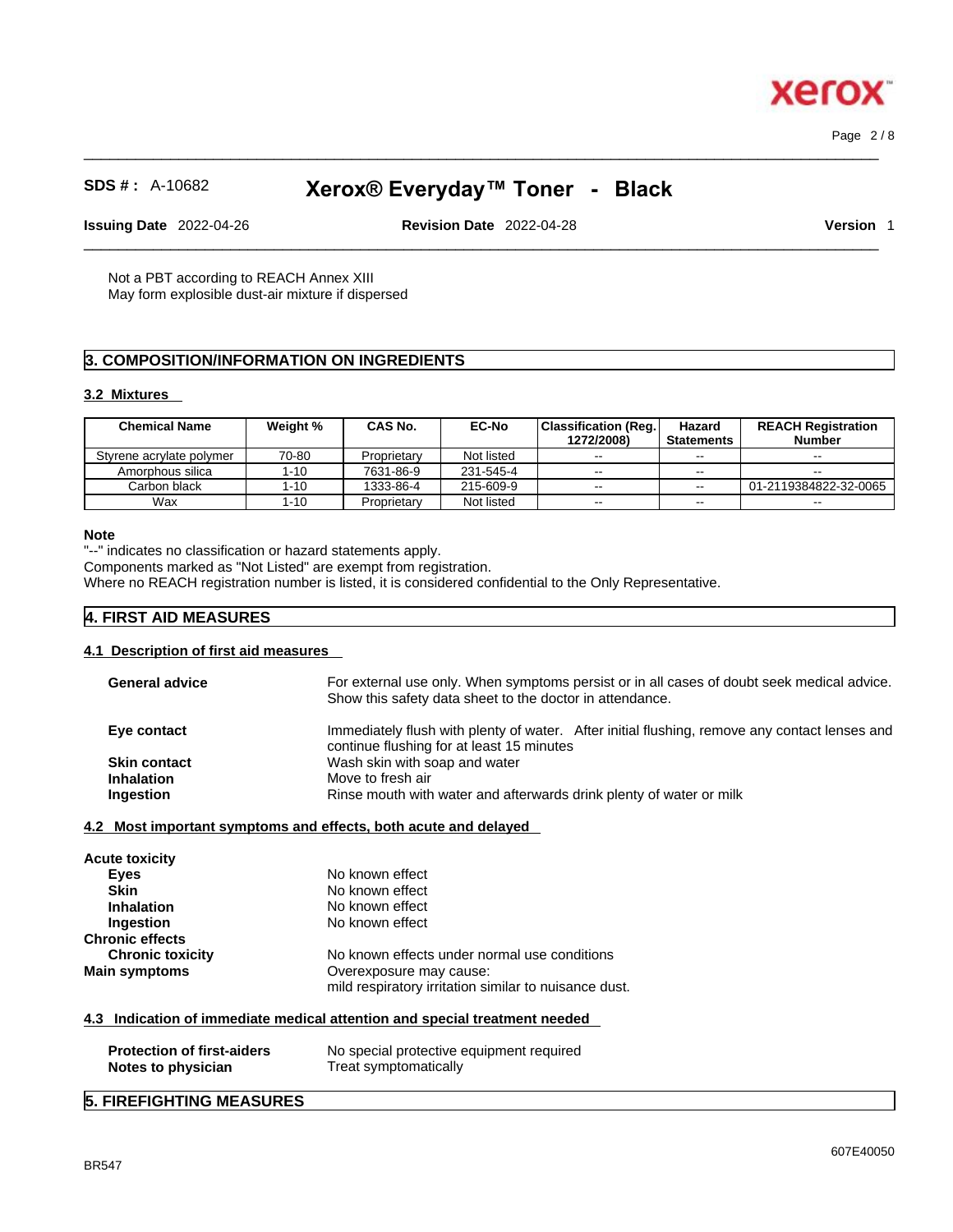$\_$  ,  $\_$  ,  $\_$  ,  $\_$  ,  $\_$  ,  $\_$  ,  $\_$  ,  $\_$  ,  $\_$  ,  $\_$  ,  $\_$  ,  $\_$  ,  $\_$  ,  $\_$  ,  $\_$  ,  $\_$  ,  $\_$  ,  $\_$  ,  $\_$  ,  $\_$  ,  $\_$  ,  $\_$  ,  $\_$  ,  $\_$  ,  $\_$  ,  $\_$  ,  $\_$  ,  $\_$  ,  $\_$  ,  $\_$  ,  $\_$  ,  $\_$  ,  $\_$  ,  $\_$  ,  $\_$  ,  $\_$  ,  $\_$  , Page 2 / 8

xero

# **SDS # :** A-10682 **Xerox® Everyday™ Toner - Black**

**Issuing Date** 2022-04-26 **Revision Date** 2022-04-28 **Version** 1

 $\_$  ,  $\_$  ,  $\_$  ,  $\_$  ,  $\_$  ,  $\_$  ,  $\_$  ,  $\_$  ,  $\_$  ,  $\_$  ,  $\_$  ,  $\_$  ,  $\_$  ,  $\_$  ,  $\_$  ,  $\_$  ,  $\_$  ,  $\_$  ,  $\_$  ,  $\_$  ,  $\_$  ,  $\_$  ,  $\_$  ,  $\_$  ,  $\_$  ,  $\_$  ,  $\_$  ,  $\_$  ,  $\_$  ,  $\_$  ,  $\_$  ,  $\_$  ,  $\_$  ,  $\_$  ,  $\_$  ,  $\_$  ,  $\_$  ,

Not a PBT according to REACH Annex XIII May form explosible dust-air mixture if dispersed

## **3. COMPOSITION/INFORMATION ON INGREDIENTS**

#### **3.2 Mixtures**

| <b>Chemical Name</b>     | Weight % | <b>CAS No.</b> | <b>EC-No</b> | <b>Classification (Reg.</b><br>1272/2008) | Hazard<br><b>Statements</b> | <b>REACH Registration</b><br><b>Number</b> |
|--------------------------|----------|----------------|--------------|-------------------------------------------|-----------------------------|--------------------------------------------|
| Styrene acrylate polymer | 70-80    | Proprietary    | Not listed   | $- -$                                     | $\sim$ $\sim$               | $\sim$ $\sim$                              |
| Amorphous silica         | $1 - 10$ | 7631-86-9      | 231-545-4    | $- -$                                     | $\sim$ $\sim$               | $- -$                                      |
| Carbon black             | $1 - 10$ | 1333-86-4      | 215-609-9    | $- -$                                     | $\sim$ $\sim$               | 01-2119384822-32-0065                      |
| Wax                      | 1-10     | Proprietary    | Not listed   | $- -$                                     | $- -$                       | $-$                                        |

#### **Note**

"--" indicates no classification or hazard statements apply.

Components marked as "Not Listed" are exempt from registration.

Where no REACH registration number is listed, it is considered confidential to the Only Representative.

## **4. FIRST AID MEASURES**

## **4.1 Description of first aid measures**

| <b>General advice</b> | For external use only. When symptoms persist or in all cases of doubt seek medical advice.<br>Show this safety data sheet to the doctor in attendance. |
|-----------------------|--------------------------------------------------------------------------------------------------------------------------------------------------------|
| Eye contact           | Immediately flush with plenty of water. After initial flushing, remove any contact lenses and<br>continue flushing for at least 15 minutes             |
| <b>Skin contact</b>   | Wash skin with soap and water                                                                                                                          |
| <b>Inhalation</b>     | Move to fresh air                                                                                                                                      |
| Ingestion             | Rinse mouth with water and afterwards drink plenty of water or milk                                                                                    |

| <b>Acute toxicity</b>   |                                                       |
|-------------------------|-------------------------------------------------------|
| Eyes                    | No known effect                                       |
| <b>Skin</b>             | No known effect                                       |
| <b>Inhalation</b>       | No known effect                                       |
| Ingestion               | No known effect                                       |
| <b>Chronic effects</b>  |                                                       |
| <b>Chronic toxicity</b> | No known effects under normal use conditions          |
| <b>Main symptoms</b>    | Overexposure may cause:                               |
|                         | mild respiratory irritation similar to nuisance dust. |
|                         |                                                       |

## **4.3 Indication of immediate medical attention and special treatment needed**

| <b>Protection of first-aiders</b> | No special protective equipment required |
|-----------------------------------|------------------------------------------|
| Notes to physician                | Treat symptomatically                    |

## **5. FIREFIGHTING MEASURES**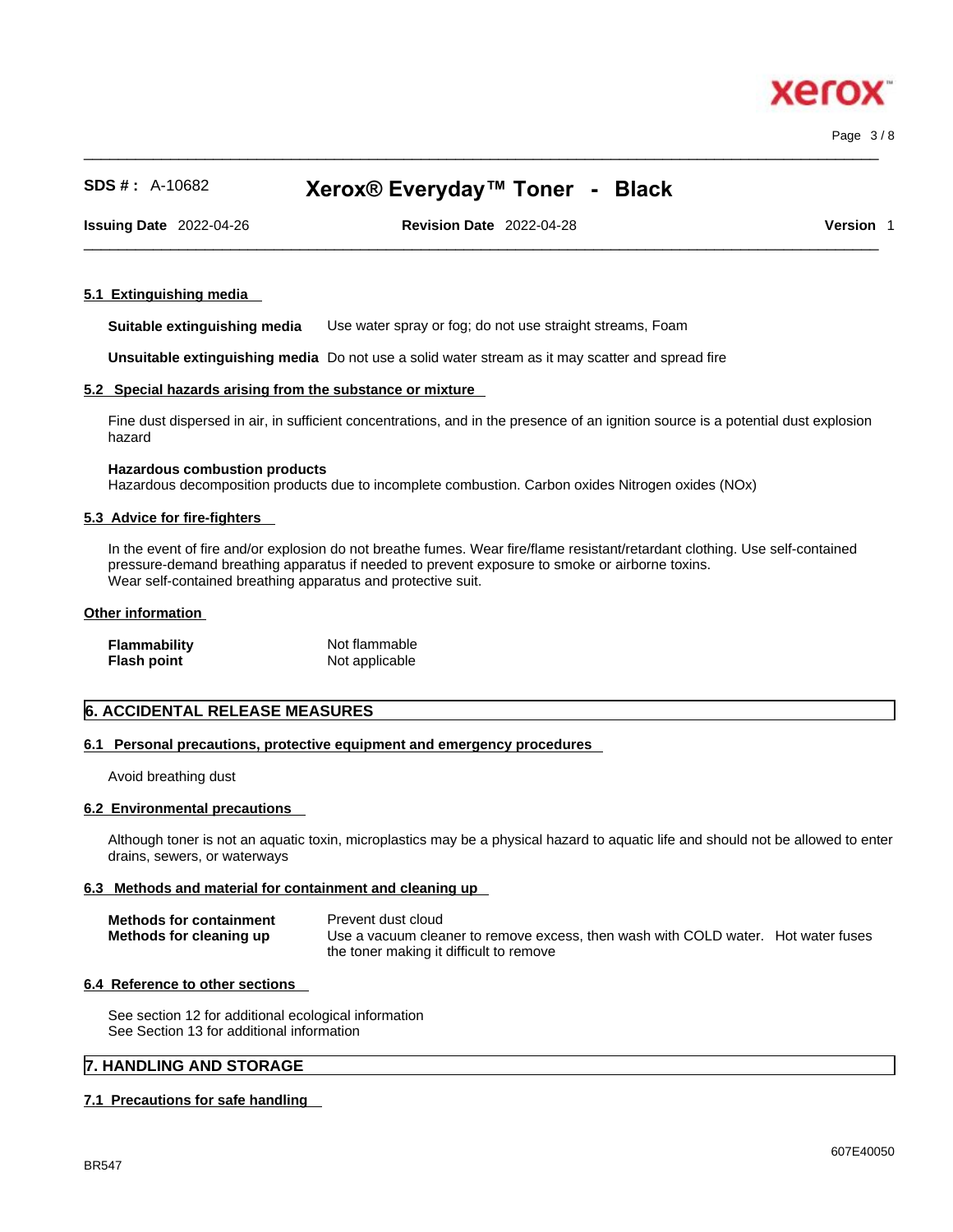$\_$  ,  $\_$  ,  $\_$  ,  $\_$  ,  $\_$  ,  $\_$  ,  $\_$  ,  $\_$  ,  $\_$  ,  $\_$  ,  $\_$  ,  $\_$  ,  $\_$  ,  $\_$  ,  $\_$  ,  $\_$  ,  $\_$  ,  $\_$  ,  $\_$  ,  $\_$  ,  $\_$  ,  $\_$  ,  $\_$  ,  $\_$  ,  $\_$  ,  $\_$  ,  $\_$  ,  $\_$  ,  $\_$  ,  $\_$  ,  $\_$  ,  $\_$  ,  $\_$  ,  $\_$  ,  $\_$  ,  $\_$  ,  $\_$  , Page 3 / 8

xero

## **SDS # :** A-10682 **Xerox® Everyday™ Toner - Black**

**Issuing Date** 2022-04-26 **Revision Date** 2022-04-28 **Version** 1

 $\_$  ,  $\_$  ,  $\_$  ,  $\_$  ,  $\_$  ,  $\_$  ,  $\_$  ,  $\_$  ,  $\_$  ,  $\_$  ,  $\_$  ,  $\_$  ,  $\_$  ,  $\_$  ,  $\_$  ,  $\_$  ,  $\_$  ,  $\_$  ,  $\_$  ,  $\_$  ,  $\_$  ,  $\_$  ,  $\_$  ,  $\_$  ,  $\_$  ,  $\_$  ,  $\_$  ,  $\_$  ,  $\_$  ,  $\_$  ,  $\_$  ,  $\_$  ,  $\_$  ,  $\_$  ,  $\_$  ,  $\_$  ,  $\_$  ,

#### **5.1 Extinguishing media**

**Suitable extinguishing media** Use water spray or fog; do not use straight streams, Foam

**Unsuitable extinguishing media** Do not use a solid water stream as it may scatterand spread fire

#### **5.2 Special hazards arising from the substance or mixture**

Fine dust dispersed in air, in sufficient concentrations, and in the presence of an ignition source is a potential dust explosion hazard

#### **Hazardous combustion products**

Hazardous decomposition products due to incomplete combustion. Carbon oxides Nitrogen oxides (NOx)

#### **5.3 Advice for fire-fighters**

In the event of fire and/or explosion do not breathe fumes. Wear fire/flame resistant/retardant clothing. Use self-contained pressure-demand breathing apparatus if needed to prevent exposure to smoke or airborne toxins. Wear self-contained breathing apparatus and protective suit.

#### **Other information**

| <b>Flammability</b> | Not flammable  |
|---------------------|----------------|
| <b>Flash point</b>  | Not applicable |

## **6. ACCIDENTAL RELEASE MEASURES**

#### **6.1 Personal precautions, protective equipment and emergency procedures**

Avoid breathing dust

#### **6.2 Environmental precautions**

Although toner is not an aquatic toxin, microplastics may be a physical hazard to aquatic life and should not be allowed to enter drains, sewers, or waterways

#### **6.3 Methods and material for containment and cleaning up**

| <b>Methods for containment</b> | Prevent dust cloud                                                                |  |
|--------------------------------|-----------------------------------------------------------------------------------|--|
| Methods for cleaning up        | Use a vacuum cleaner to remove excess, then wash with COLD water. Hot water fuses |  |
|                                | the toner making it difficult to remove                                           |  |

#### **6.4 Reference to other sections**

See section 12 for additional ecological information See Section 13 for additional information

## **7. HANDLING AND STORAGE**

#### **7.1 Precautions for safe handling**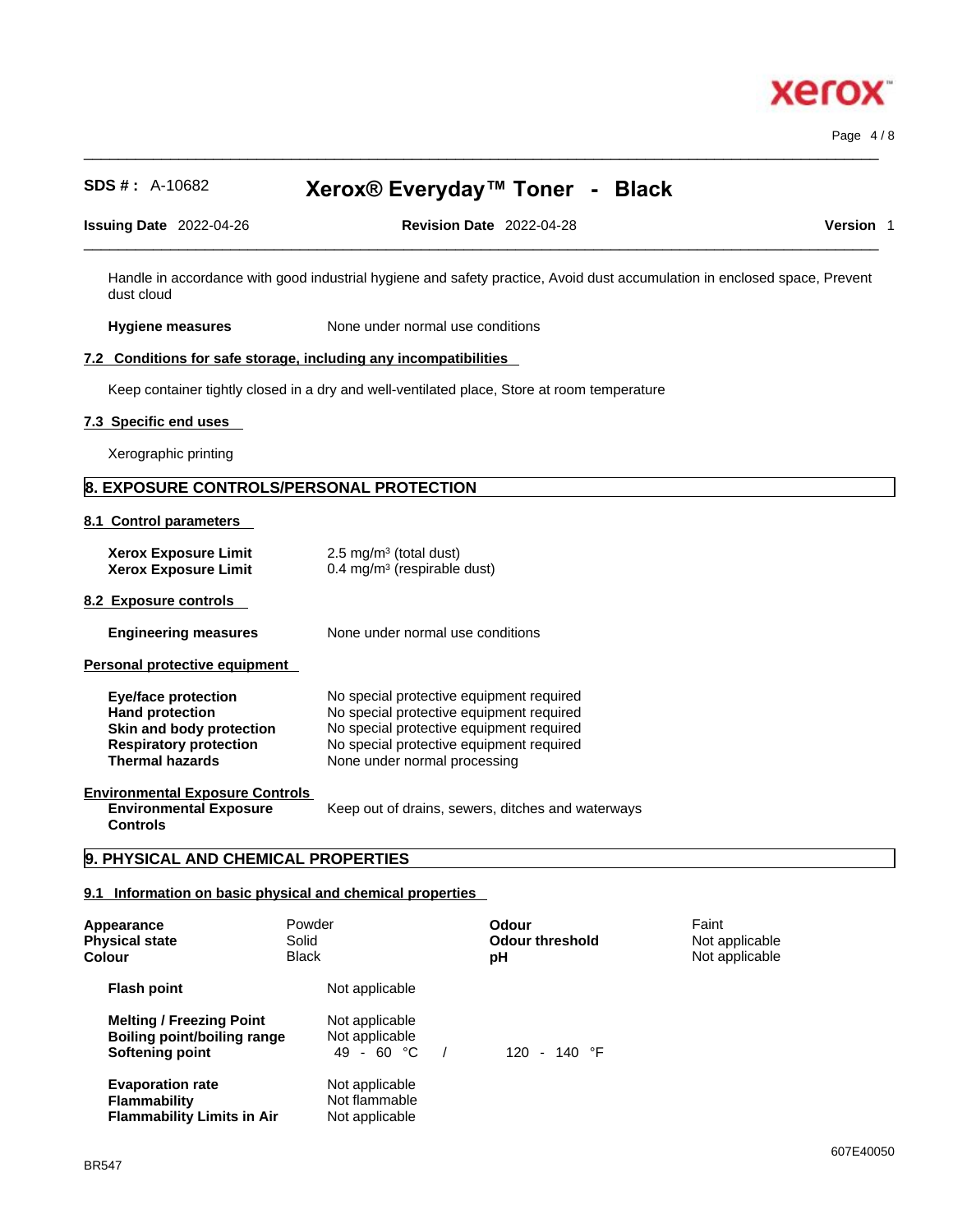

Page 4 / 8

## **SDS # :** A-10682 **Xerox® Everyday™ Toner - Black**

 $\_$  ,  $\_$  ,  $\_$  ,  $\_$  ,  $\_$  ,  $\_$  ,  $\_$  ,  $\_$  ,  $\_$  ,  $\_$  ,  $\_$  ,  $\_$  ,  $\_$  ,  $\_$  ,  $\_$  ,  $\_$  ,  $\_$  ,  $\_$  ,  $\_$  ,  $\_$  ,  $\_$  ,  $\_$  ,  $\_$  ,  $\_$  ,  $\_$  ,  $\_$  ,  $\_$  ,  $\_$  ,  $\_$  ,  $\_$  ,  $\_$  ,  $\_$  ,  $\_$  ,  $\_$  ,  $\_$  ,  $\_$  ,  $\_$  ,

| <b>Issuing Date</b> | 2022-04-26 | Date<br><b>Revision</b> | ിറെ<br>2022-04-28 | <b>Version</b> |  |
|---------------------|------------|-------------------------|-------------------|----------------|--|
|                     |            |                         |                   |                |  |

Handle in accordance with good industrial hygiene and safety practice, Avoid dust accumulation in enclosed space, Prevent dust cloud

**Hygiene measures** None under normal use conditions

## **7.2 Conditions for safe storage, including any incompatibilities**

Keep container tightly closed in a dry and well-ventilated place, Store at room temperature

#### **7.3 Specific end uses**

Xerographic printing

## **8. EXPOSURE CONTROLS/PERSONAL PROTECTION**

#### **8.1 Control parameters**

| <b>Xerox Exposure Limit</b><br><b>Xerox Exposure Limit</b>                                                                                  | 2.5 mg/m <sup>3</sup> (total dust)<br>0.4 mg/m <sup>3</sup> (respirable dust)                                                                                                                                |
|---------------------------------------------------------------------------------------------------------------------------------------------|--------------------------------------------------------------------------------------------------------------------------------------------------------------------------------------------------------------|
| 8.2 Exposure controls                                                                                                                       |                                                                                                                                                                                                              |
| <b>Engineering measures</b>                                                                                                                 | None under normal use conditions                                                                                                                                                                             |
| Personal protective equipment                                                                                                               |                                                                                                                                                                                                              |
| <b>Eye/face protection</b><br><b>Hand protection</b><br>Skin and body protection<br><b>Respiratory protection</b><br><b>Thermal hazards</b> | No special protective equipment required<br>No special protective equipment required<br>No special protective equipment required<br>No special protective equipment required<br>None under normal processing |
| <b>Environmental Exposure Controls</b><br><b>Environmental Exposure</b>                                                                     | Keep out of drains, sewers, ditches and waterways                                                                                                                                                            |

**Environmental Exposure Controls** 

## **9. PHYSICAL AND CHEMICAL PROPERTIES**

#### **9.1 Information on basic physical and chemical properties**

| Appearance<br><b>Physical state</b><br>Colour                                            | Solid<br><b>Black</b> | Powder                                            | Odour<br><b>Odour threshold</b><br>рH | Faint<br>Not applicable<br>Not applicable |
|------------------------------------------------------------------------------------------|-----------------------|---------------------------------------------------|---------------------------------------|-------------------------------------------|
| <b>Flash point</b>                                                                       |                       | Not applicable                                    |                                       |                                           |
| <b>Melting / Freezing Point</b><br><b>Boiling point/boiling range</b><br>Softening point |                       | Not applicable<br>Not applicable<br>$49 - 60 °C$  | $120 - 140$ °F                        |                                           |
| <b>Evaporation rate</b><br><b>Flammability</b><br><b>Flammability Limits in Air</b>      |                       | Not applicable<br>Not flammable<br>Not applicable |                                       |                                           |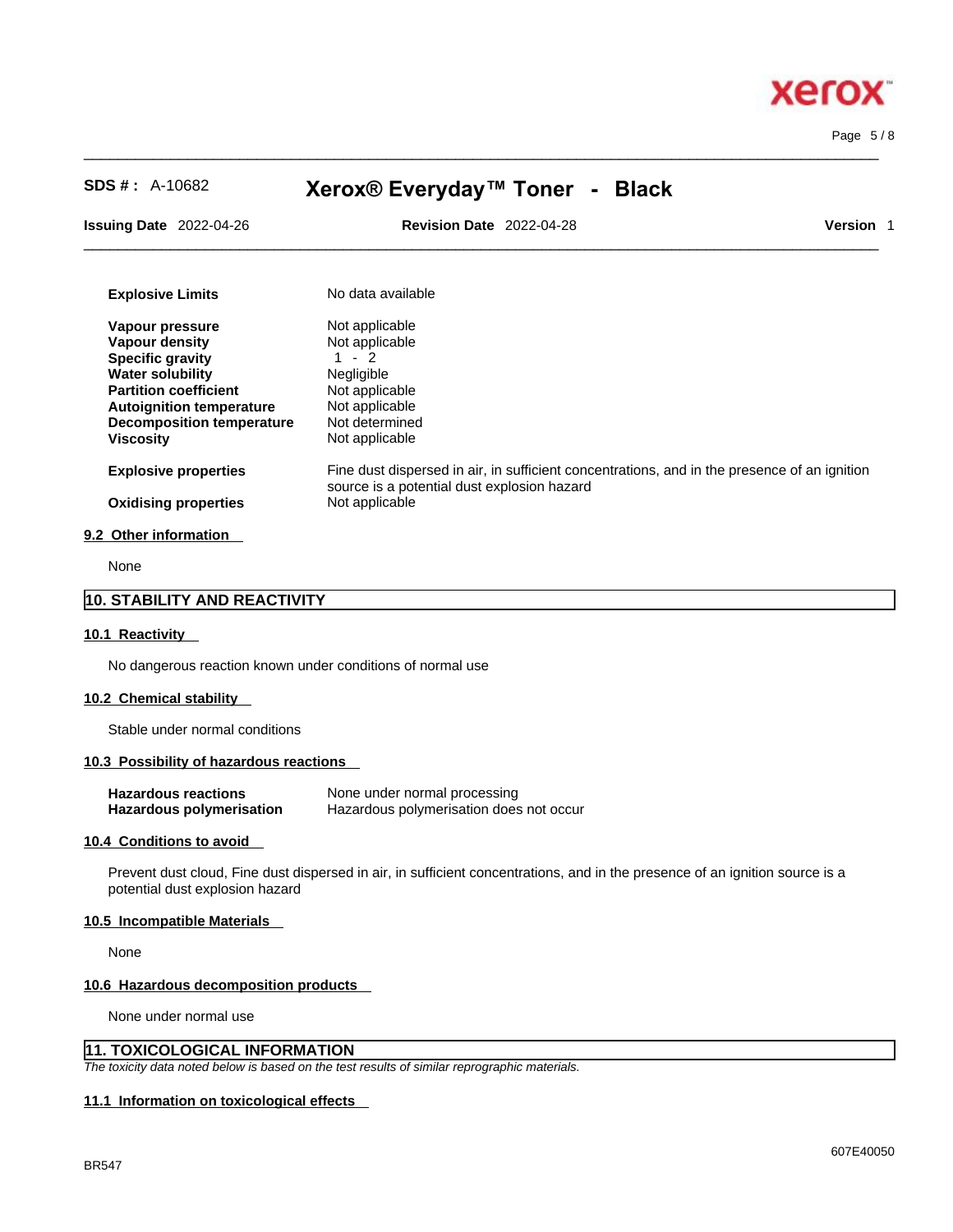

Page 5 / 8

| $SDS #: A-10682$                                     | Xerox® Everyday™ Toner - Black                                                                                                              |                  |
|------------------------------------------------------|---------------------------------------------------------------------------------------------------------------------------------------------|------------------|
| <b>Issuing Date 2022-04-26</b>                       | <b>Revision Date 2022-04-28</b>                                                                                                             | <b>Version</b> 1 |
| <b>Explosive Limits</b>                              | No data available                                                                                                                           |                  |
| Vapour pressure                                      | Not applicable                                                                                                                              |                  |
| Vapour density                                       | Not applicable                                                                                                                              |                  |
| <b>Specific gravity</b>                              | $-2$                                                                                                                                        |                  |
| <b>Water solubility</b>                              | Negligible                                                                                                                                  |                  |
| <b>Partition coefficient</b>                         | Not applicable                                                                                                                              |                  |
| <b>Autoignition temperature</b>                      | Not applicable                                                                                                                              |                  |
| <b>Decomposition temperature</b><br><b>Viscosity</b> | Not determined<br>Not applicable                                                                                                            |                  |
|                                                      |                                                                                                                                             |                  |
| <b>Explosive properties</b>                          | Fine dust dispersed in air, in sufficient concentrations, and in the presence of an ignition<br>source is a potential dust explosion hazard |                  |
| <b>Oxidising properties</b>                          | Not applicable                                                                                                                              |                  |
| 9.2 Other information                                |                                                                                                                                             |                  |

 $\_$  ,  $\_$  ,  $\_$  ,  $\_$  ,  $\_$  ,  $\_$  ,  $\_$  ,  $\_$  ,  $\_$  ,  $\_$  ,  $\_$  ,  $\_$  ,  $\_$  ,  $\_$  ,  $\_$  ,  $\_$  ,  $\_$  ,  $\_$  ,  $\_$  ,  $\_$  ,  $\_$  ,  $\_$  ,  $\_$  ,  $\_$  ,  $\_$  ,  $\_$  ,  $\_$  ,  $\_$  ,  $\_$  ,  $\_$  ,  $\_$  ,  $\_$  ,  $\_$  ,  $\_$  ,  $\_$  ,  $\_$  ,  $\_$  ,

None

## **10. STABILITY AND REACTIVITY**

#### **10.1 Reactivity**

No dangerous reaction known under conditions of normal use

#### **10.2 Chemical stability**

Stable under normal conditions

## **10.3 Possibility of hazardous reactions**

| <b>Hazardous reactions</b> | None under normal processing            |
|----------------------------|-----------------------------------------|
| Hazardous polymerisation   | Hazardous polymerisation does not occur |

#### **10.4 Conditions to avoid**

Prevent dust cloud, Fine dust dispersed in air, in sufficient concentrations, and in the presence of an ignition source is a potential dust explosion hazard

#### **10.5 Incompatible Materials**

None

#### **10.6 Hazardous decomposition products**

None under normal use

## **11. TOXICOLOGICAL INFORMATION**

*The toxicity data noted below is based on the test results of similar reprographic materials.* 

#### **11.1 Information on toxicological effects**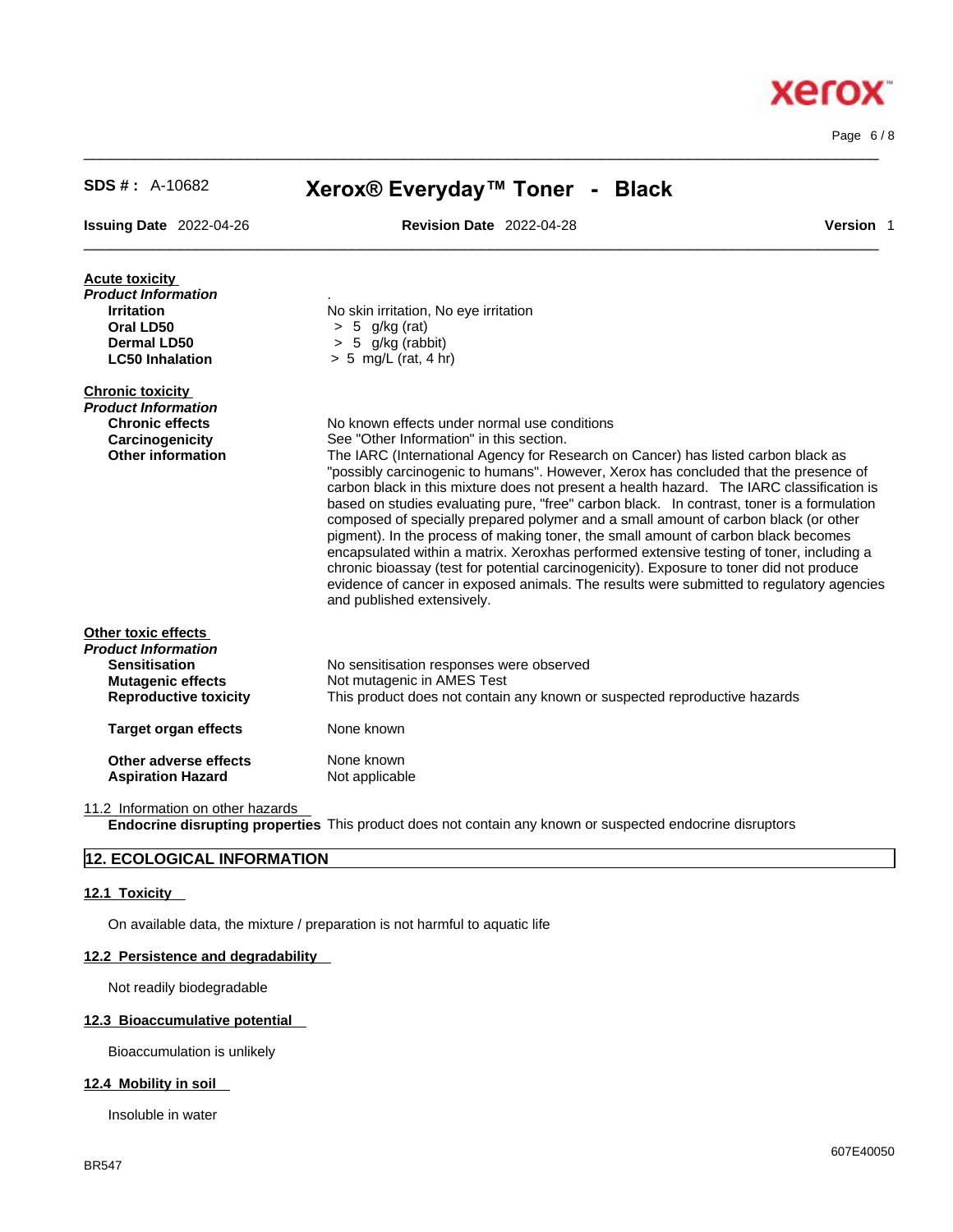Page 6 / 8

**Xerox** 

| <b>SDS #:</b> $A-10682$           | Xerox® Everyday™ Toner - Black                                                                                                                                                                                                                                                                                                                                                                                                                                                                                                                                                                                                                                                                                                                                                                                                                                      |  |
|-----------------------------------|---------------------------------------------------------------------------------------------------------------------------------------------------------------------------------------------------------------------------------------------------------------------------------------------------------------------------------------------------------------------------------------------------------------------------------------------------------------------------------------------------------------------------------------------------------------------------------------------------------------------------------------------------------------------------------------------------------------------------------------------------------------------------------------------------------------------------------------------------------------------|--|
| <b>Issuing Date 2022-04-26</b>    | <b>Revision Date 2022-04-28</b><br>Version 1                                                                                                                                                                                                                                                                                                                                                                                                                                                                                                                                                                                                                                                                                                                                                                                                                        |  |
| <b>Acute toxicity</b>             |                                                                                                                                                                                                                                                                                                                                                                                                                                                                                                                                                                                                                                                                                                                                                                                                                                                                     |  |
| Product Information               |                                                                                                                                                                                                                                                                                                                                                                                                                                                                                                                                                                                                                                                                                                                                                                                                                                                                     |  |
| <b>Irritation</b>                 | No skin irritation, No eye irritation                                                                                                                                                                                                                                                                                                                                                                                                                                                                                                                                                                                                                                                                                                                                                                                                                               |  |
| Oral LD50                         | $> 5$ g/kg (rat)                                                                                                                                                                                                                                                                                                                                                                                                                                                                                                                                                                                                                                                                                                                                                                                                                                                    |  |
| <b>Dermal LD50</b>                | 5 g/kg (rabbit)                                                                                                                                                                                                                                                                                                                                                                                                                                                                                                                                                                                                                                                                                                                                                                                                                                                     |  |
| <b>LC50 Inhalation</b>            | $> 5$ mg/L (rat, 4 hr)                                                                                                                                                                                                                                                                                                                                                                                                                                                                                                                                                                                                                                                                                                                                                                                                                                              |  |
| <b>Chronic toxicity</b>           |                                                                                                                                                                                                                                                                                                                                                                                                                                                                                                                                                                                                                                                                                                                                                                                                                                                                     |  |
| Product Information               |                                                                                                                                                                                                                                                                                                                                                                                                                                                                                                                                                                                                                                                                                                                                                                                                                                                                     |  |
| <b>Chronic effects</b>            | No known effects under normal use conditions                                                                                                                                                                                                                                                                                                                                                                                                                                                                                                                                                                                                                                                                                                                                                                                                                        |  |
| Carcinogenicity                   | See "Other Information" in this section.                                                                                                                                                                                                                                                                                                                                                                                                                                                                                                                                                                                                                                                                                                                                                                                                                            |  |
| <b>Other information</b>          | The IARC (International Agency for Research on Cancer) has listed carbon black as<br>"possibly carcinogenic to humans". However, Xerox has concluded that the presence of<br>carbon black in this mixture does not present a health hazard. The IARC classification is<br>based on studies evaluating pure, "free" carbon black. In contrast, toner is a formulation<br>composed of specially prepared polymer and a small amount of carbon black (or other<br>pigment). In the process of making toner, the small amount of carbon black becomes<br>encapsulated within a matrix. Xeroxhas performed extensive testing of toner, including a<br>chronic bioassay (test for potential carcinogenicity). Exposure to toner did not produce<br>evidence of cancer in exposed animals. The results were submitted to regulatory agencies<br>and published extensively. |  |
| Other toxic effects               |                                                                                                                                                                                                                                                                                                                                                                                                                                                                                                                                                                                                                                                                                                                                                                                                                                                                     |  |
| Product Information               |                                                                                                                                                                                                                                                                                                                                                                                                                                                                                                                                                                                                                                                                                                                                                                                                                                                                     |  |
| <b>Sensitisation</b>              | No sensitisation responses were observed                                                                                                                                                                                                                                                                                                                                                                                                                                                                                                                                                                                                                                                                                                                                                                                                                            |  |
| <b>Mutagenic effects</b>          | Not mutagenic in AMES Test                                                                                                                                                                                                                                                                                                                                                                                                                                                                                                                                                                                                                                                                                                                                                                                                                                          |  |
| <b>Reproductive toxicity</b>      | This product does not contain any known or suspected reproductive hazards                                                                                                                                                                                                                                                                                                                                                                                                                                                                                                                                                                                                                                                                                                                                                                                           |  |
| <b>Target organ effects</b>       | None known                                                                                                                                                                                                                                                                                                                                                                                                                                                                                                                                                                                                                                                                                                                                                                                                                                                          |  |
| Other adverse effects             | None known                                                                                                                                                                                                                                                                                                                                                                                                                                                                                                                                                                                                                                                                                                                                                                                                                                                          |  |
| <b>Aspiration Hazard</b>          | Not applicable                                                                                                                                                                                                                                                                                                                                                                                                                                                                                                                                                                                                                                                                                                                                                                                                                                                      |  |
| 11.2 Information on other hazards |                                                                                                                                                                                                                                                                                                                                                                                                                                                                                                                                                                                                                                                                                                                                                                                                                                                                     |  |

 $\_$  ,  $\_$  ,  $\_$  ,  $\_$  ,  $\_$  ,  $\_$  ,  $\_$  ,  $\_$  ,  $\_$  ,  $\_$  ,  $\_$  ,  $\_$  ,  $\_$  ,  $\_$  ,  $\_$  ,  $\_$  ,  $\_$  ,  $\_$  ,  $\_$  ,  $\_$  ,  $\_$  ,  $\_$  ,  $\_$  ,  $\_$  ,  $\_$  ,  $\_$  ,  $\_$  ,  $\_$  ,  $\_$  ,  $\_$  ,  $\_$  ,  $\_$  ,  $\_$  ,  $\_$  ,  $\_$  ,  $\_$  ,  $\_$  ,

**Endocrine disrupting properties** This product does not contain any known or suspected endocrine disruptors

## **12. ECOLOGICAL INFORMATION**

#### **12.1 Toxicity**

On available data, the mixture / preparation is not harmful to aquatic life

#### **12.2 Persistence and degradability**

Not readily biodegradable

## **12.3 Bioaccumulative potential**

Bioaccumulation is unlikely

## **12.4 Mobility in soil**

Insoluble in water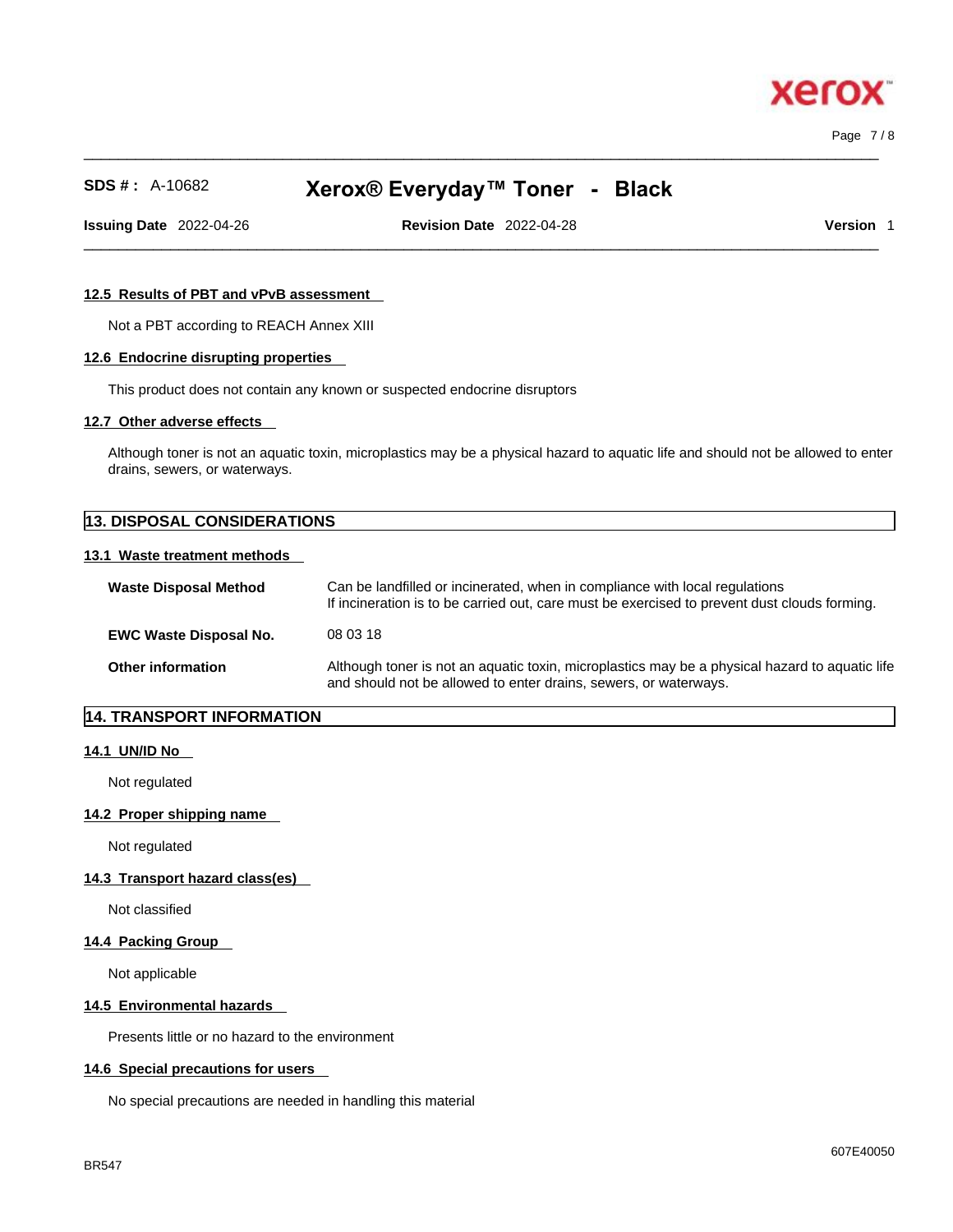$\_$  ,  $\_$  ,  $\_$  ,  $\_$  ,  $\_$  ,  $\_$  ,  $\_$  ,  $\_$  ,  $\_$  ,  $\_$  ,  $\_$  ,  $\_$  ,  $\_$  ,  $\_$  ,  $\_$  ,  $\_$  ,  $\_$  ,  $\_$  ,  $\_$  ,  $\_$  ,  $\_$  ,  $\_$  ,  $\_$  ,  $\_$  ,  $\_$  ,  $\_$  ,  $\_$  ,  $\_$  ,  $\_$  ,  $\_$  ,  $\_$  ,  $\_$  ,  $\_$  ,  $\_$  ,  $\_$  ,  $\_$  ,  $\_$  , Page 7 / 8

xero

## **SDS # :** A-10682 **Xerox® Everyday™ Toner - Black**

**Issuing Date** 2022-04-26 **Revision Date** 2022-04-28 **Version** 1

 $\_$  ,  $\_$  ,  $\_$  ,  $\_$  ,  $\_$  ,  $\_$  ,  $\_$  ,  $\_$  ,  $\_$  ,  $\_$  ,  $\_$  ,  $\_$  ,  $\_$  ,  $\_$  ,  $\_$  ,  $\_$  ,  $\_$  ,  $\_$  ,  $\_$  ,  $\_$  ,  $\_$  ,  $\_$  ,  $\_$  ,  $\_$  ,  $\_$  ,  $\_$  ,  $\_$  ,  $\_$  ,  $\_$  ,  $\_$  ,  $\_$  ,  $\_$  ,  $\_$  ,  $\_$  ,  $\_$  ,  $\_$  ,  $\_$  ,

## **12.5 Results of PBT and vPvB assessment**

Not a PBT according to REACH Annex XIII

## **12.6 Endocrine disrupting properties**

This product does not contain any known or suspected endocrine disruptors

#### **12.7 Other adverse effects**

Although toner is not an aquatic toxin, microplastics may be a physical hazard to aquatic life and should not be allowed to enter drains, sewers, or waterways.

# **13. DISPOSAL CONSIDERATIONS**

## **13.1 Waste treatment methods**

| <b>Waste Disposal Method</b>  | Can be landfilled or incinerated, when in compliance with local regulations<br>If incineration is to be carried out, care must be exercised to prevent dust clouds forming. |
|-------------------------------|-----------------------------------------------------------------------------------------------------------------------------------------------------------------------------|
| <b>EWC Waste Disposal No.</b> | 08 03 18                                                                                                                                                                    |
| <b>Other information</b>      | Although toner is not an aquatic toxin, microplastics may be a physical hazard to aquatic life<br>and should not be allowed to enter drains, sewers, or waterways.          |

## **14. TRANSPORT INFORMATION**

#### **14.1 UN/ID No**

Not regulated

#### **14.2 Proper shipping name**

Not regulated

#### **14.3 Transport hazard class(es)**

Not classified

## **14.4 Packing Group**

Not applicable

#### **14.5 Environmental hazards**

Presents little or no hazard to the environment

## **14.6 Special precautions for users**

No special precautions are needed in handling this material